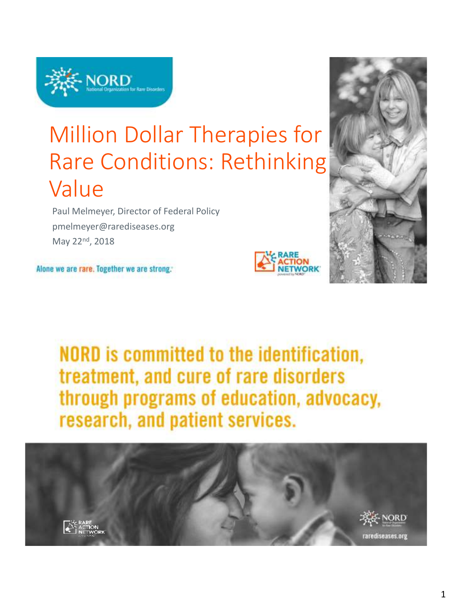

# Million Dollar Therapies for Rare Conditions: Rethinking Value

Paul Melmeyer, Director of Federal Policy pmelmeyer@rarediseases.org May 22nd, 2018

Alone we are rare. Together we are strong.





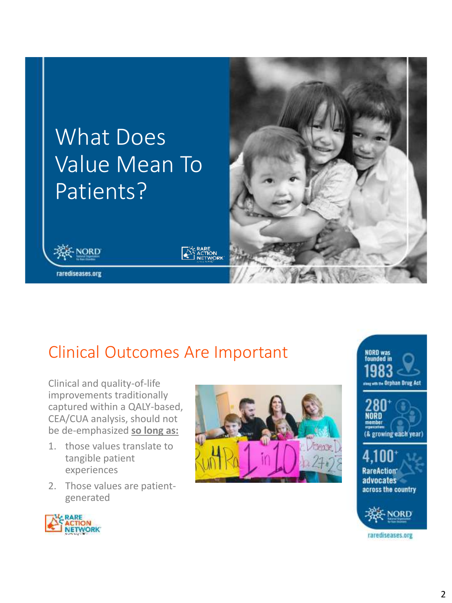

### Clinical Outcomes Are Important

Clinical and quality-of-life improvements traditionally captured within a QALY-based, CEA/CUA analysis, should not be de-emphasized **so long as:**

- 1. those values translate to tangible patient experiences
- 2. Those values are patientgenerated









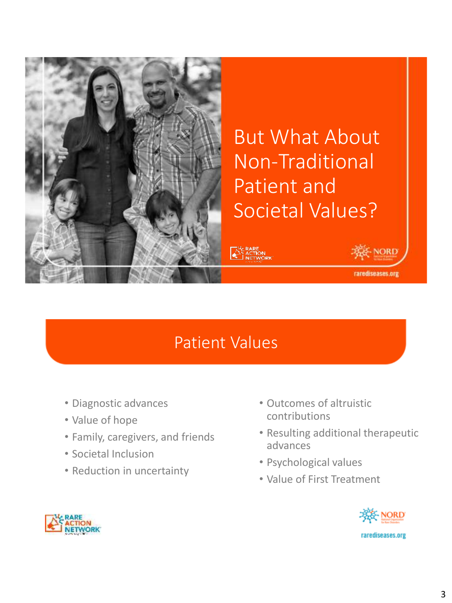

### But What About Non-Traditional Patient and Societal Values?

### Patient Values

- Diagnostic advances
- Value of hope
- Family, caregivers, and friends
- Societal Inclusion
- Reduction in uncertainty
- Outcomes of altruistic contributions
- Resulting additional therapeutic advances
- Psychological values
- Value of First Treatment



**NORD** 

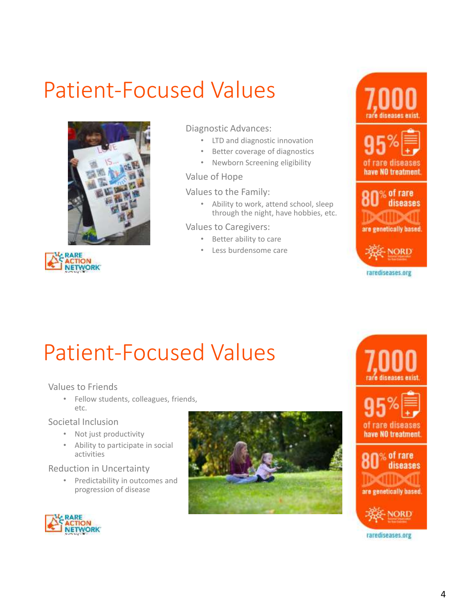# Patient-Focused Values



**ACTION<br>NETWORK** 

#### Diagnostic Advances:

- LTD and diagnostic innovation
- Better coverage of diagnostics
- Newborn Screening eligibility

#### Value of Hope

#### Values to the Family:

• Ability to work, attend school, sleep through the night, have hobbies, etc.

#### Values to Caregivers:

- Better ability to care
- Less burdensome care









## Patient-Focused Values

#### Values to Friends

• Fellow students, colleagues, friends, etc.

#### Societal Inclusion

- Not just productivity
- Ability to participate in social activities

#### Reduction in Uncertainty

• Predictability in outcomes and progression of disease





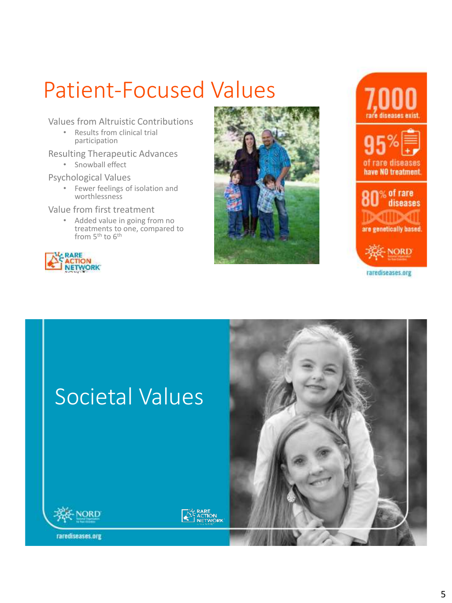# Patient-Focused Values

Values from Altruistic Contributions

• Results from clinical trial participation

Resulting Therapeutic Advances

• Snowball effect

Psychological Values

• Fewer feelings of isolation and worthlessness

Value from first treatment

• Added value in going from no treatments to one, compared to from 5<sup>th</sup> to 6<sup>th</sup>









# Societal Values